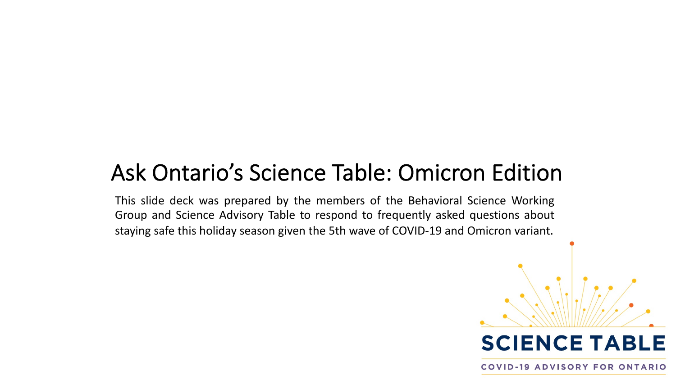### Ask Ontario's Science Table: Omicron Edition

This slide deck was prepared by the members of the Behavioral Science Working Group and Science Advisory Table to respond to frequently asked questions about staying safe this holiday season given the 5th wave of COVID-19 and Omicron variant.



**COVID-19 ADVISORY FOR ONTARIO**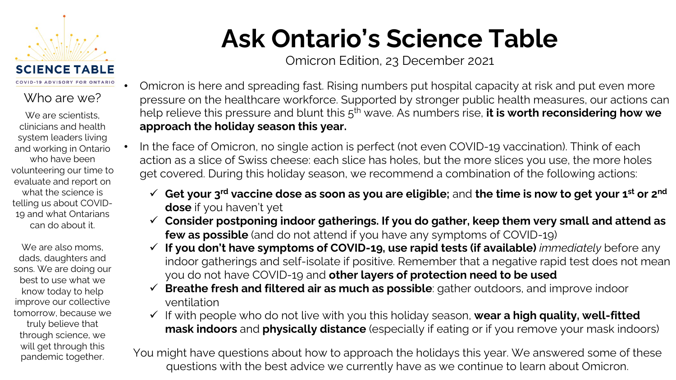

#### Who are we?

We are scientists. clinicians and health system leaders living and working in Ontario who have been volunteering our time to evaluate and report on what the science is telling us about COVID-19 and what Ontarians can do about it.

We are also moms, dads, daughters and sons. We are doing our best to use what we know today to help improve our collective tomorrow, because we truly believe that through science, we will get through this pandemic together.

## **Ask Ontario's Science Table**

Omicron Edition, 23 December 2021

- Omicron is here and spreading fast. Rising numbers put hospital capacity at risk and put even more pressure on the healthcare workforce. Supported by stronger public health measures, our actions can help relieve this pressure and blunt this 5th wave. As numbers rise, **it is worth reconsidering how we approach the holiday season this year.**
- In the face of Omicron, no single action is perfect (not even COVID-19 vaccination). Think of each action as a slice of Swiss cheese: each slice has holes, but the more slices you use, the more holes get covered. During this holiday season, we recommend a combination of the following actions:
	- ü **Get your 3rd vaccine dose as soon as you are eligible;** and **the time is now to get your 1st or 2nd dose** if you haven't yet
	- ü **Consider postponing indoor gatherings. If you do gather, keep them very small and attend as few as possible** (and do not attend if you have any symptoms of COVID-19)
	- ü **If you don't have symptoms of COVID-19, use rapid tests (if available)** *immediately* before any indoor gatherings and self-isolate if positive. Remember that a negative rapid test does not mean you do not have COVID-19 and **other layers of protection need to be used**
	- ü **Breathe fresh and filtered air as much as possible**: gather outdoors, and improve indoor ventilation
	- v If with people who do not live with you this holiday season, wear a high quality, well-fitted **mask indoors** and **physically distance** (especially if eating or if you remove your mask indoors)

You might have questions about how to approach the holidays this year. We answered some of these questions with the best advice we currently have as we continue to learn about Omicron.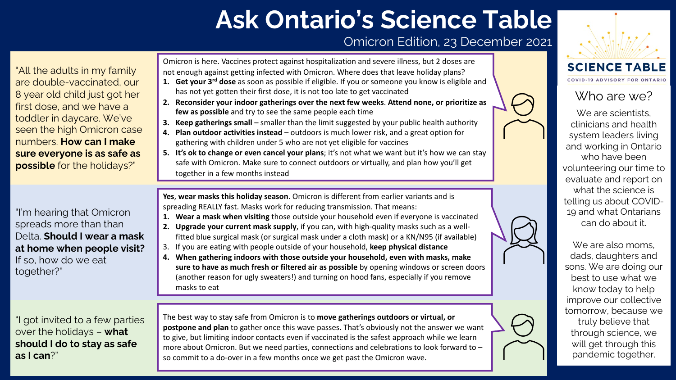### **Ask Ontario's Science Table**

#### Omicron Edition, 23 December 2021



#### Who are we?

We are scientists, clinicians and health system leaders living and working in Ontario who have been volunteering our time to evaluate and report on what the science is telling us about COVID-19 and what Ontarians can do about it.

We are also moms. dads, daughters and sons. We are doing our best to use what we know today to help improve our collective tomorrow, because we truly believe that through science, we will get through this pandemic together.

"All the adults in my family are double-vaccinated, our 8 year old child just got her first dose, and we have a toddler in daycare. We've seen the high Omicron case numbers. **How can I make sure everyone is as safe as possible** for the holidays?" Omicron is here. Vaccines protect against hospitalization and severe illness, but 2 doses are not enough against getting infected with Omicron. Where does that leave holiday plans? **1. Get your 3rd dose** as soon as possible if eligible. If you or someone you know is eligible and has not yet gotten their first dose, it is not too late to get vaccinated **2. Reconsider your indoor gatherings over the next few weeks**. **Attend none, or prioritize as few as possible** and try to see the same people each time **3. Keep gatherings small** – smaller than the limit suggested by your public health authority **4. Plan outdoor activities instead** – outdoors is much lower risk, and a great option for gathering with children under 5 who are not yet eligible for vaccines **5. It's ok to change or even cancel your plans**; it's not what we want but it's how we can stay safe with Omicron. Make sure to connect outdoors or virtually, and plan how you'll get

"I'm hearing that Omicron spreads more than than Delta. **Should I wear a mask at home when people visit?**  If so, how do we eat together?"

"I got invited to a few parties over the holidays – **what should I do to stay as safe as I can**?"

**Yes**, **wear masks this holiday season**. Omicron is different from earlier variants and is together in a few months instead

spreading REALLY fast. Masks work for reducing transmission. That means:

- **1. Wear a mask when visiting** those outside your household even if everyone is vaccinated
- **2. Upgrade your current mask supply**, if you can, with high-quality masks such as a wellfitted blue surgical mask (or surgical mask under a cloth mask) or a KN/N95 (if available)
- 3. If you are eating with people outside of your household, **keep physical distance**
- **4. When gathering indoors with those outside your household, even with masks, make sure to have as much fresh or filtered air as possible** by opening windows or screen doors (another reason for ugly sweaters!) and turning on hood fans, especially if you remove masks to eat

The best way to stay safe from Omicron is to **move gatherings outdoors or virtual, or postpone and plan** to gather once this wave passes. That's obviously not the answer we want to give, but limiting indoor contacts even if vaccinated is the safest approach while we learn more about Omicron. But we need parties, connections and celebrations to look forward to – so commit to a do-over in a few months once we get past the Omicron wave.

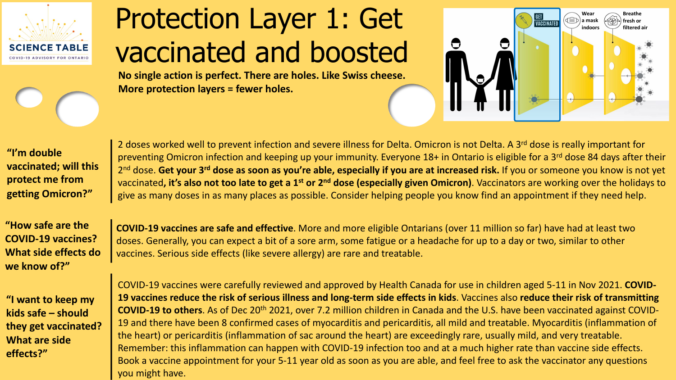

# Protection Layer 1: Get vaccinated and boosted

**No single action is perfect. There are holes. Like Swiss cheese. More protection layers = fewer holes.**



**"I'm double vaccinated; will this protect me from getting Omicron?"**

**"How safe are the COVID-19 vaccines? What side effects do we know of?"**

**"I want to keep my kids safe – should they get vaccinated? What are side effects?"**

2 doses worked well to prevent infection and severe illness for Delta. Omicron is not Delta. A 3<sup>rd</sup> dose is really important for preventing Omicron infection and keeping up your immunity. Everyone 18+ in Ontario is eligible for a 3<sup>rd</sup> dose 84 days after their 2nd dose. **Get your 3rd dose as soon as you're able, especially if you are at increased risk.** If you or someone you know is not yet vaccinated**, it's also not too late to get a 1st or 2nd dose (especially given Omicron)**. Vaccinators are working over the holidays to give as many doses in as many places as possible. Consider helping people you know find an appointment if they need help.

**COVID-19 vaccines are safe and effective**. More and more eligible Ontarians (over 11 million so far) have had at least two doses. Generally, you can expect a bit of a sore arm, some fatigue or a headache for up to a day or two, similar to other vaccines. Serious side effects (like severe allergy) are rare and treatable.

COVID-19 vaccines were carefully reviewed and approved by Health Canada for use in children aged 5-11 in Nov 2021. **COVID-19 vaccines reduce the risk of serious illness and long-term side effects in kids**. Vaccines also **reduce their risk of transmitting COVID-19 to others**. As of Dec 20th 2021, over 7.2 million children in Canada and the U.S. have been vaccinated against COVID-19 and there have been 8 confirmed cases of myocarditis and pericarditis, all mild and treatable. Myocarditis (inflammation of the heart) or pericarditis (inflammation of sac around the heart) are exceedingly rare, usually mild, and very treatable. Remember: this inflammation can happen with COVID-19 infection too and at a much higher rate than vaccine side effects. Book a vaccine appointment for your 5-11 year old as soon as you are able, and feel free to ask the vaccinator any questions you might have.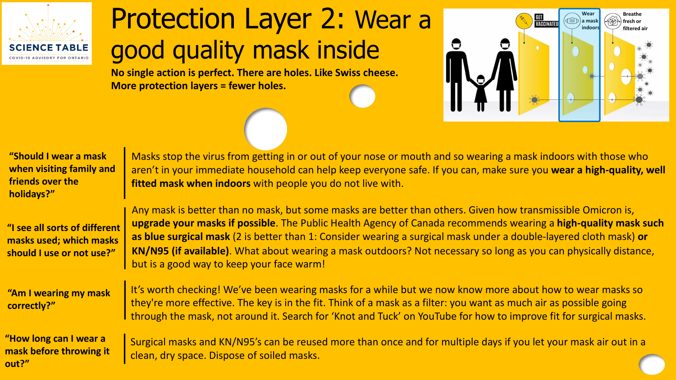

## Protection Layer 2: Wear a good quality mask inside

**No single action is perfect. There are holes. Like Swiss cheese. More protection layers = fewer holes.**



| "Should I wear a mask    |
|--------------------------|
| when visiting family and |
| friends over the         |
| holidays?"               |

**"I see all sorts of different masks used; which masks should I use or not use?"**

**"Am I wearing my mask correctly?"**

**"How long can I wear a mask before throwing it out?"**

Masks stop the virus from getting in or out of your nose or mouth and so wearing a mask indoors with those who aren't in your immediate household can help keep everyone safe. If you can, make sure you **wear a high-quality, well fitted mask when indoors** with people you do not live with.

Any mask is better than no mask, but some masks are better than others. Given how transmissible Omicron is, **upgrade your masks if possible**. The Public Health Agency of Canada recommends wearing a **high-quality mask such as blue surgical mask** (2 is better than 1: Consider wearing a surgical mask under a double-layered cloth mask) **or KN/N95 (if available)**. What about wearing a mask outdoors? Not necessary so long as you can physically distance, but is a good way to keep your face warm!

It's worth checking! We've been wearing masks for a while but we now know more about how to wear masks so they're more effective. The key is in the fit. Think of a mask as a filter: you want as much air as possible going through the mask, not around it. Search for 'Knot and Tuck' on YouTube for how to improve fit for surgical masks.

Surgical masks and KN/N95's can be reused more than once and for multiple days if you let your mask air out in a clean, dry space. Dispose of soiled masks.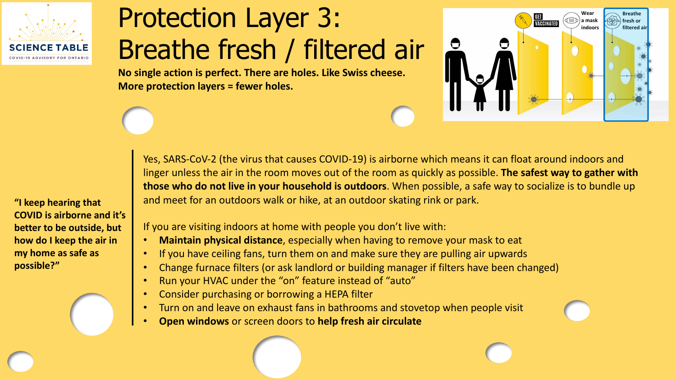

# Protection Layer 3: Breathe fresh / filtered air

**No single action is perfect. There are holes. Like Swiss cheese. More protection layers = fewer holes.**



**"I keep hearing that COVID is airborne and it's better to be outside, but how do I keep the air in my home as safe as possible?"**

Yes, SARS-CoV-2 (the virus that causes COVID-19) is airborne which means it can float around indoors and linger unless the air in the room moves out of the room as quickly as possible. **The safest way to gather with those who do not live in your household is outdoors**. When possible, a safe way to socialize is to bundle up and meet for an outdoors walk or hike, at an outdoor skating rink or park.

If you are visiting indoors at home with people you don't live with:

- **Maintain physical distance**, especially when having to remove your mask to eat
- If you have ceiling fans, turn them on and make sure they are pulling air upwards
- Change furnace filters (or ask landlord or building manager if filters have been changed)
- Run your HVAC under the "on" feature instead of "auto"
- Consider purchasing or borrowing a HEPA filter
- Turn on and leave on exhaust fans in bathrooms and stovetop when people visit
- **Open windows** or screen doors to **help fresh air circulate**